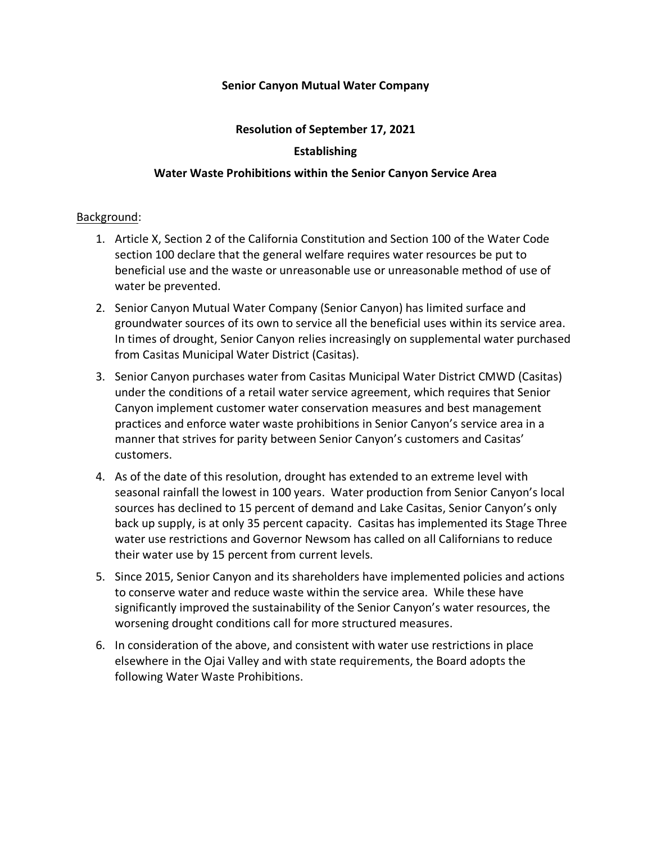## **Senior Canyon Mutual Water Company**

## **Resolution of September 17, 2021**

# **Establishing**

## **Water Waste Prohibitions within the Senior Canyon Service Area**

#### Background:

- 1. Article X, Section 2 of the California Constitution and Section 100 of the Water Code section 100 declare that the general welfare requires water resources be put to beneficial use and the waste or unreasonable use or unreasonable method of use of water be prevented.
- 2. Senior Canyon Mutual Water Company (Senior Canyon) has limited surface and groundwater sources of its own to service all the beneficial uses within its service area. In times of drought, Senior Canyon relies increasingly on supplemental water purchased from Casitas Municipal Water District (Casitas).
- 3. Senior Canyon purchases water from Casitas Municipal Water District CMWD (Casitas) under the conditions of a retail water service agreement, which requires that Senior Canyon implement customer water conservation measures and best management practices and enforce water waste prohibitions in Senior Canyon's service area in a manner that strives for parity between Senior Canyon's customers and Casitas' customers.
- 4. As of the date of this resolution, drought has extended to an extreme level with seasonal rainfall the lowest in 100 years. Water production from Senior Canyon's local sources has declined to 15 percent of demand and Lake Casitas, Senior Canyon's only back up supply, is at only 35 percent capacity. Casitas has implemented its Stage Three water use restrictions and Governor Newsom has called on all Californians to reduce their water use by 15 percent from current levels.
- 5. Since 2015, Senior Canyon and its shareholders have implemented policies and actions to conserve water and reduce waste within the service area. While these have significantly improved the sustainability of the Senior Canyon's water resources, the worsening drought conditions call for more structured measures.
- 6. In consideration of the above, and consistent with water use restrictions in place elsewhere in the Ojai Valley and with state requirements, the Board adopts the following Water Waste Prohibitions.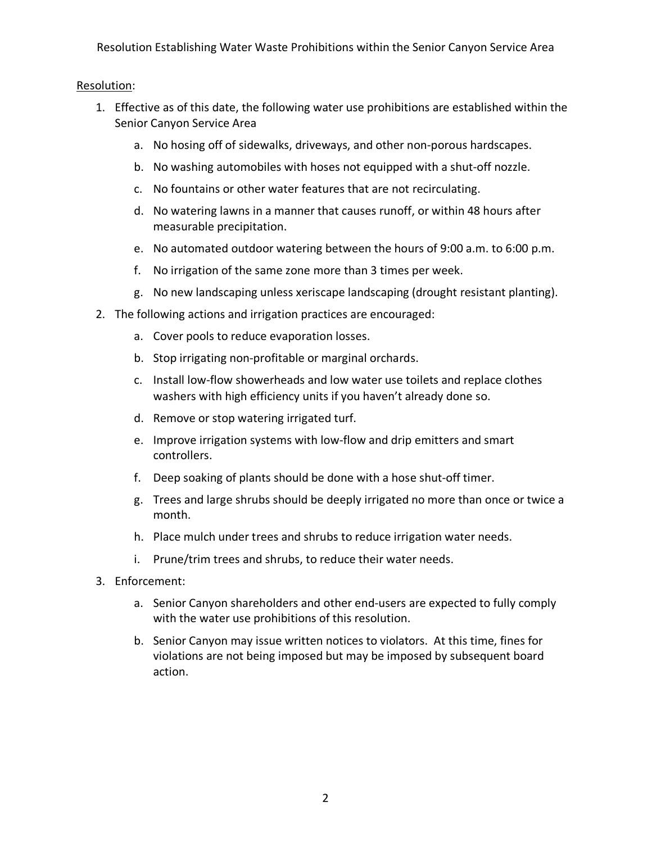Resolution Establishing Water Waste Prohibitions within the Senior Canyon Service Area

# Resolution:

- 1. Effective as of this date, the following water use prohibitions are established within the Senior Canyon Service Area
	- a. No hosing off of sidewalks, driveways, and other non-porous hardscapes.
	- b. No washing automobiles with hoses not equipped with a shut-off nozzle.
	- c. No fountains or other water features that are not recirculating.
	- d. No watering lawns in a manner that causes runoff, or within 48 hours after measurable precipitation.
	- e. No automated outdoor watering between the hours of 9:00 a.m. to 6:00 p.m.
	- f. No irrigation of the same zone more than 3 times per week.
	- g. No new landscaping unless xeriscape landscaping (drought resistant planting).
- 2. The following actions and irrigation practices are encouraged:
	- a. Cover pools to reduce evaporation losses.
	- b. Stop irrigating non-profitable or marginal orchards.
	- c. Install low-flow showerheads and low water use toilets and replace clothes washers with high efficiency units if you haven't already done so.
	- d. Remove or stop watering irrigated turf.
	- e. Improve irrigation systems with low-flow and drip emitters and smart controllers.
	- f. Deep soaking of plants should be done with a hose shut-off timer.
	- g. Trees and large shrubs should be deeply irrigated no more than once or twice a month.
	- h. Place mulch under trees and shrubs to reduce irrigation water needs.
	- i. Prune/trim trees and shrubs, to reduce their water needs.
- 3. Enforcement:
	- a. Senior Canyon shareholders and other end-users are expected to fully comply with the water use prohibitions of this resolution.
	- b. Senior Canyon may issue written notices to violators. At this time, fines for violations are not being imposed but may be imposed by subsequent board action.